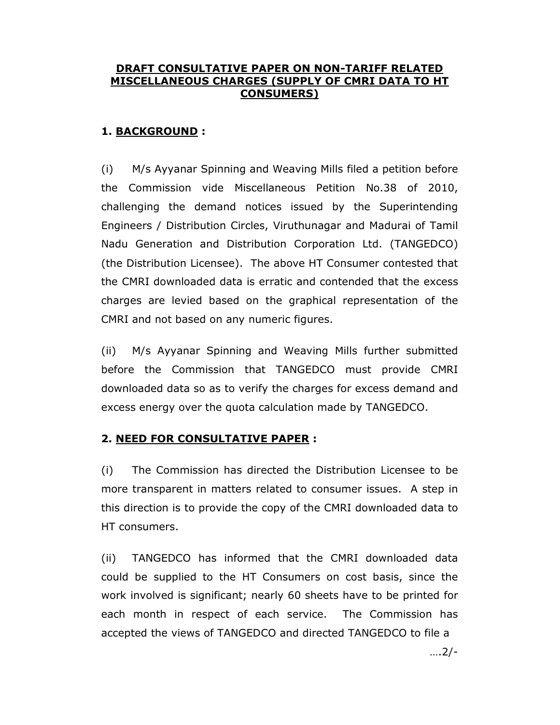# DRAFT CONSULTATIVE PAPER ON NON-TARIFF RELATED MISCELLANEOUS CHARGES (SUPPLY OF CMRI DATA TO HT CONSUMERS)

# 1. BACKGROUND :

(i) M/s Ayyanar Spinning and Weaving Mills filed a petition before the Commission vide Miscellaneous Petition No.38 of 2010, challenging the demand notices issued by the Superintending Engineers / Distribution Circles, Viruthunagar and Madurai of Tamil Nadu Generation and Distribution Corporation Ltd. (TANGEDCO) (the Distribution Licensee). The above HT Consumer contested that the CMRI downloaded data is erratic and contended that the excess charges are levied based on the graphical representation of the CMRI and not based on any numeric figures.

(ii) M/s Ayyanar Spinning and Weaving Mills further submitted before the Commission that TANGEDCO must provide CMRI downloaded data so as to verify the charges for excess demand and excess energy over the quota calculation made by TANGEDCO.

## 2. NEED FOR CONSULTATIVE PAPER :

(i) The Commission has directed the Distribution Licensee to be more transparent in matters related to consumer issues. A step in this direction is to provide the copy of the CMRI downloaded data to HT consumers.

(ii) TANGEDCO has informed that the CMRI downloaded data could be supplied to the HT Consumers on cost basis, since the work involved is significant; nearly 60 sheets have to be printed for each month in respect of each service. The Commission has accepted the views of TANGEDCO and directed TANGEDCO to file a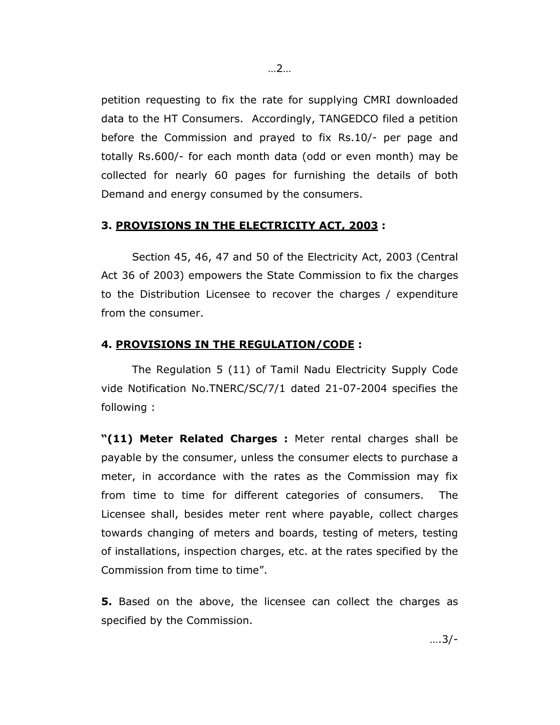petition requesting to fix the rate for supplying CMRI downloaded data to the HT Consumers. Accordingly, TANGEDCO filed a petition before the Commission and prayed to fix Rs.10/- per page and totally Rs.600/- for each month data (odd or even month) may be collected for nearly 60 pages for furnishing the details of both Demand and energy consumed by the consumers.

#### 3. PROVISIONS IN THE ELECTRICITY ACT, 2003 :

 Section 45, 46, 47 and 50 of the Electricity Act, 2003 (Central Act 36 of 2003) empowers the State Commission to fix the charges to the Distribution Licensee to recover the charges / expenditure from the consumer.

#### 4. PROVISIONS IN THE REGULATION/CODE :

The Regulation 5 (11) of Tamil Nadu Electricity Supply Code vide Notification No.TNERC/SC/7/1 dated 21-07-2004 specifies the following :

"(11) Meter Related Charges : Meter rental charges shall be payable by the consumer, unless the consumer elects to purchase a meter, in accordance with the rates as the Commission may fix from time to time for different categories of consumers. The Licensee shall, besides meter rent where payable, collect charges towards changing of meters and boards, testing of meters, testing of installations, inspection charges, etc. at the rates specified by the Commission from time to time".

**5.** Based on the above, the licensee can collect the charges as specified by the Commission.

….3/-